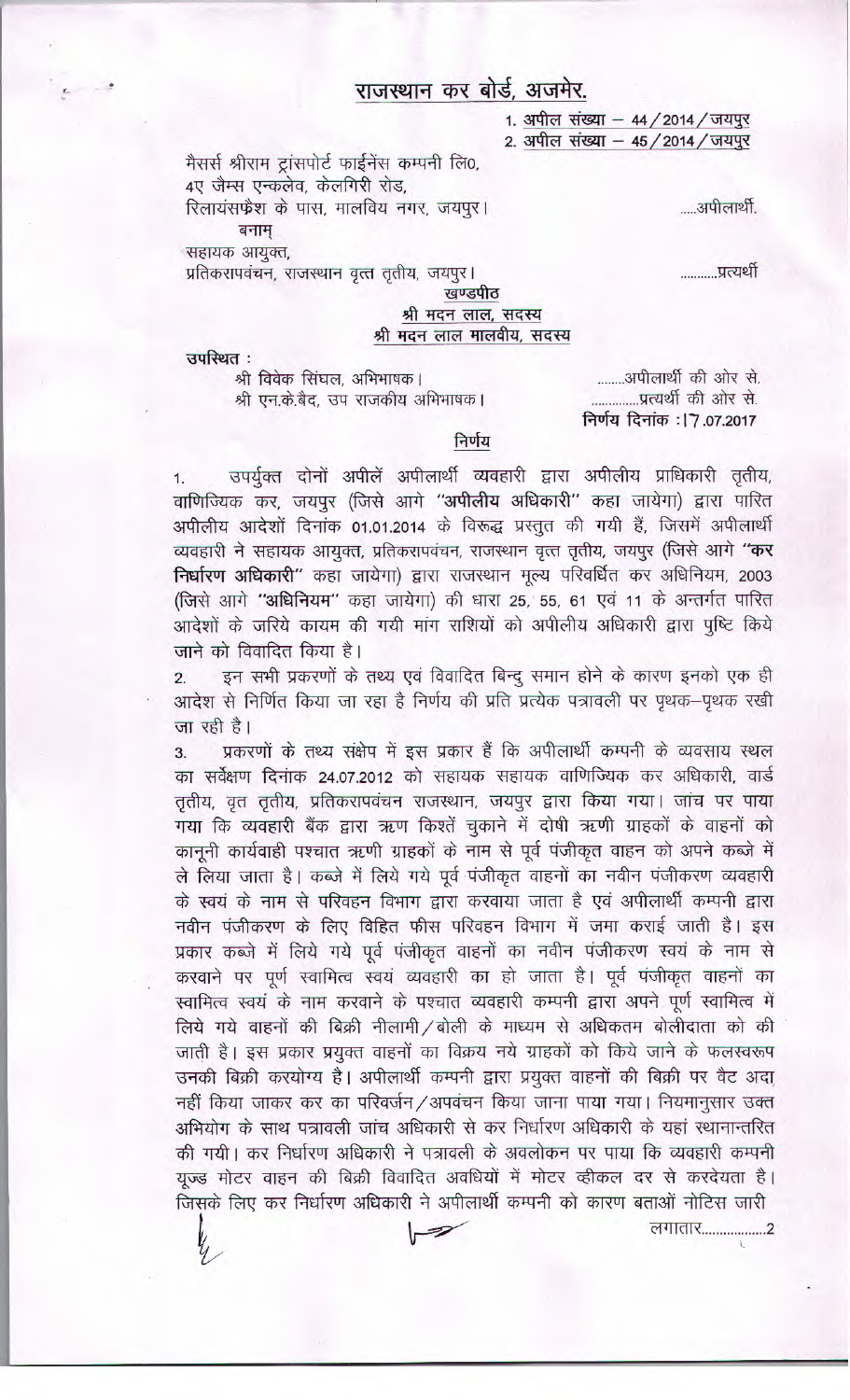## राजस्थान कर बोर्ड, अजमेर.

1. अपील संख्या - 44 / 2014 / जयपुर 2. अपील संख्या - 45 / 2014 / जयपुर

मैसर्स श्रीराम ट्रांसपोर्ट फाईनेंस कम्पनी लि0, 4ए जैम्स एन्कलेव, केलगिरी रोड, रिलायंसफ्रैश के पास, मालविय नगर, जयपूर। बनाम सहायक आयुक्त,

प्रतिकरापवंचन, राजस्थान वृत्त तृतीय, जयपुर।

खण्डपीठ श्री मदन लाल, सदस्य श्री मदन लाल मालवीय, सदस्य

उपस्थित :

श्री विवेक सिंघल, अभिभाषक। श्री एन.के.बैद, उप राजकीय अभिभाषक।

........अपीलार्थी की ओर से. ..............प्रत्यर्थी की ओर से. निर्णय दिनांक : | 7.07.2017

्यपीलार्थी

..........प्रत्यर्थी

## निर्णय

उपर्युक्त दोनों अपीलें अपीलार्थी व्यवहारी द्वारा अपीलीय प्राधिकारी तृतीय,  $1.$ वाणिज्यिक कर, जयपुर (जिसे आगे "अपीलीय अधिकारी" कहा जायेगा) द्वारा पारित अपीलीय आदेशों दिनांक 01.01.2014 के विरूद्ध प्रस्तुत की गयी हैं, जिसमें अपीलार्थी व्यवहारी ने सहायक आयुक्त, प्रतिकरापवंचन, राजस्थान वृत्त तृतीय, जयपुर (जिसे आगे "कर निर्धारण अधिकारी" कहा जायेगा) द्वारा राजस्थान मूल्य परिवर्धित कर अधिनियम, 2003 (जिसे आगे "अधिनियम" कहा जायेगा) की धारा 25, 55, 61 एवं 11 के अन्तर्गत पारित आदेशों के जरिये कायम की गयी मांग राशियों को अपीलीय अधिकारी द्वारा पुष्टि किये जाने को विवादित किया है।

इन सभी प्रकरणों के तथ्य एवं विवादित बिन्दु समान होने के कारण इनको एक ही आदेश से निर्णित किया जा रहा है निर्णय की प्रति प्रत्येक पत्रावली पर पृथक-पृथक रखी जा रही है।

प्रकरणों के तथ्य संक्षेप में इस प्रकार हैं कि अपीलार्थी कम्पनी के व्यवसाय स्थल  $3<sub>1</sub>$ का सर्वेक्षण दिनाक 24.07.2012 को सहायक सहायक वाणिज्यिक कर अधिकारी, वार्ड तृतीय, वृत तृतीय, प्रतिकरापवंचन राजस्थान, जयपुर द्वारा किया गया। जांच पर पाया गया कि व्यवहारी बैंक द्वारा ऋण किश्तें चुकाने में दोषी ऋणी ग्राहकों के वाहनों को कानूनी कार्यवाही पश्चात ऋणी ग्राहकों के नाम से पूर्व पंजीकृत वाहन को अपने कब्जे में ले लिया जाता है। कब्जे में लिये गये पूर्व पंजीकृत वाहनों का नवीन पंजीकरण व्यवहारी के स्वयं के नाम से परिवहन विभाग द्वारा करवाया जाता है एवं अपीलार्थी कम्पनी द्वारा नवीन पंजीकरण के लिए विहित फीस परिवहन विभाग में जमा कराई जाती है। इस प्रकार कब्जे में लिये गये पूर्व पंजीकृत वाहनों का नवीन पंजीकरण स्वयं के नाम से करवाने पर पूर्ण स्वामित्व स्वयं व्यवहारी का हो जाता है। पूर्व पंजीकृत वाहनों का स्वामित्व स्वयं के नाम करवाने के पश्चात व्यवहारी कम्पनी द्वारा अपने पूर्ण स्वामित्व में लिये गये वाहनों की बिक्री नीलामी / बोली के माध्यम से अधिकतम बोलीदाता को की जाती है। इस प्रकार प्रयुक्त वाहनों का विक्रय नये ग्राहकों को किये जाने के फलस्वरूप उनकी बिक्री करयोग्य है। अपीलार्थी कम्पनी द्वारा प्रयुक्त वाहनों की बिक्री पर वैट अदा नहीं किया जाकर कर का परिवर्जन/अपवंचन किया जाना पाया गया। नियमानुसार उक्त अभियोग के साथ पत्रावली जांच अधिकारी से कर निर्धारण अधिकारी के यहां स्थानान्तरित की गयी। कर निर्धारण अधिकारी ने पत्रावली के अवलोकन पर पाया कि व्यवहारी कम्पनी यूज्ड मोटर वाहन की बिक्री विवादित अवधियों में मोटर व्हीकल दर से करदेयता है। जिसके लिए कर निर्धारण अधिकारी ने अपीलार्थी कम्पनी को कारण बताओं नोटिस जारी  $\mathcal{D}$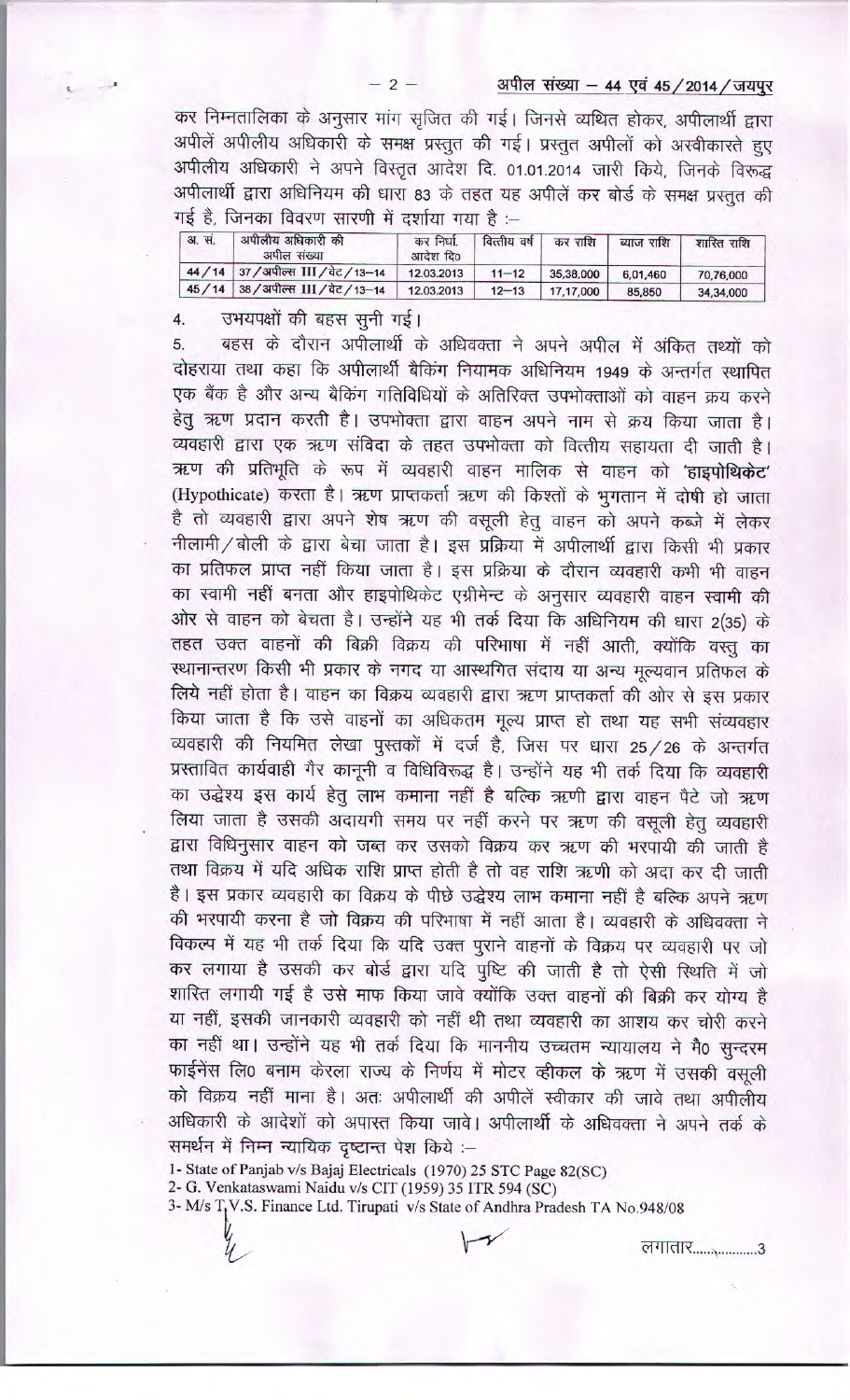अपील संख्या - 44 एवं 45 / 2014 / जयपुर

कर निम्नतालिका के अनुसार मांग सृजित की गई। जिनसे व्यथित होकर, अपीलार्थी द्वारा अपीलें अपीलीय अधिकारी के समक्ष प्रस्तुत की गई। प्रस्तुत अपीलों को अस्वीकारते हुए अपीलीय अधिकारी ने अपने विस्तृत आदेश दि. 01.01.2014 जारी किये, जिनके विरूद्ध अपीलार्थी द्वारा अधिनियम की धारा 83 के तहत यह अपीलें कर बोर्ड के समक्ष प्रस्तुत की गई है, जिनका विवरण सारणी में दर्शाया गया है :--

| <b>31. सं.</b> | अपीलीय अधिकारी की<br>अपील संख्या      | कर निर्धा<br>आदेश दि0 | वित्तीय वर्ष | कर राशि   | ब्याज राशि | शास्ति राशि |
|----------------|---------------------------------------|-----------------------|--------------|-----------|------------|-------------|
|                | 44 / 14 37 / अपील्स III / वेट / 13-14 | 12.03.2013            | $11 - 12$    | 35,38,000 | 6,01,460   | 70,76,000   |
|                | 45/14 38/अपील्स III/ वेट/13-14        | 12.03.2013            | $12 - 13$    | 17,17,000 | 85,850     | 34,34,000   |

उभयपक्षों की बहस सूनी गई।  $4.$ 

बहस के दौरान अपीलार्थी के अधिवक्ता ने अपने अपील में अंकित तथ्यों को 5. दोहराया तथा कहा कि अपीलार्थी बैकिंग नियामक अधिनियम 1949 के अन्तर्गत स्थापित एक बैंक है और अन्य बैकिंग गतिविधियों के अतिरिक्त उपभोक्ताओं को वाहन क्रय करने हेतु ऋण प्रदान करती है। उपभोक्ता द्वारा वाहन अपने नाम से क्रय किया जाता है। व्यवहारी द्वारा एक ऋण संविदा के तहत उपभोक्ता को वित्तीय सहायता दी जाती है। ऋण की प्रतिभूति के रूप में व्यवहारी वाहन मालिक से वाहन को 'हाइपोथिकेट' (Hypothicate) करता है। ऋण प्राप्तकर्ता ऋण की किश्तों के भुगतान में दोषी हो जाता है तो व्यवहारी द्वारा अपने शेष ऋण की वसूली हेतु वाहन को अपने कब्जे में लेकर नीलामी / बोली के द्वारा बेचा जाता है। इस प्रक्रिया में अपीलार्थी द्वारा किसी भी प्रकार का प्रतिफल प्राप्त नहीं किया जाता है। इस प्रक्रिया के दौरान व्यवहारी कभी भी वाहन का स्वामी नहीं बनता और हाइपोथिकेट एग्रीमेन्ट के अनुसार व्यवहारी वाहन स्वामी की ओर से वाहन को बेचता है। उन्होंने यह भी तर्क दिया कि अधिनियम की धारा 2(35) के तहत उक्त वाहनों की बिक्री विक्रय की परिभाषा में नहीं आती, क्योंकि वस्तु का स्थानान्तरण किसी भी प्रकार के नगद या आस्थगित संदाय या अन्य मूल्यवान प्रतिफल के लिये नहीं होता है। वाहन का विक्रय व्यवहारी द्वारा ऋण प्राप्तकर्ता की ओर से इस प्रकार किया जाता है कि उसे वाहनों का अधिकतम मूल्य प्राप्त हो तथा यह सभी संव्यवहार व्यवहारी की नियमित लेखा पुस्तकों में दर्ज है, जिस पर धारा 25/26 के अन्तर्गत प्रस्तावित कार्यवाही गैर कानूनी व विधिविरूद्ध है। उन्होंने यह भी तर्क दिया कि व्यवहारी का उद्धेश्य इस कार्य हेतु लाभ कमाना नहीं है बल्कि ऋणी द्वारा वाहन पैटे जो ऋण लिया जाता है उसकी अदायगी समय पर नहीं करने पर ऋण की वसूली हेतु व्यवहारी द्वारा विधिनुसार वाहन को जब्त कर उसको विक्रय कर ऋण की भरपायी की जाती है तथा विक्रय में यदि अधिक राशि प्राप्त होती है तो वह राशि ऋणी को अदा कर दी जाती है। इस प्रकार व्यवहारी का विक्रय के पीछे उद्धेश्य लाभ कमाना नहीं है बल्कि अपने ऋण की भरपायी करना है जो विक्रय की परिभाषा में नहीं आता है। व्यवहारी के अधिवक्ता ने विकल्प में यह भी तर्क दिया कि यदि उक्त पुराने वाहनों के विक्रय पर व्यवहारी पर जो कर लगाया है उसकी कर बोर्ड द्वारा यदि पुष्टि की जाती है तो ऐसी स्थिति में जो शास्ति लगायी गई है उसे माफ किया जावे क्योंकि उक्त वाहनों की बिक्री कर योग्य है या नहीं, इसकी जानकारी व्यवहारी को नहीं थी तथा व्यवहारी का आशय कर चोरी करने का नहीं था। उन्होंने यह भी तर्क दिया कि माननीय उच्चतम न्यायालय ने मै0 सुन्दरम फाईनेंस लि0 बनाम केरला राज्य के निर्णय में मोटर व्हीकल के ऋण में उसकी वसुली को विक्रय नहीं माना है। अतः अपीलार्थी की अपीलें स्वीकार की जावे तथा अपीलीय अधिकारी के आदेशों को अपास्त किया जावे। अपीलार्थी के अधिवक्ता ने अपने तर्क के समर्थन में निम्न न्यायिक दृष्टान्त पेश किये :--

1- State of Panjab v/s Bajaj Electricals (1970) 25 STC Page 82(SC)

2- G. Venkataswami Naidu v/s CIT (1959) 35 ITR 594 (SC)

3- M/s T<sub>t</sub>V.S. Finance Ltd. Tirupati v/s State of Andhra Pradesh TA No.948/08

लगातार.....................3